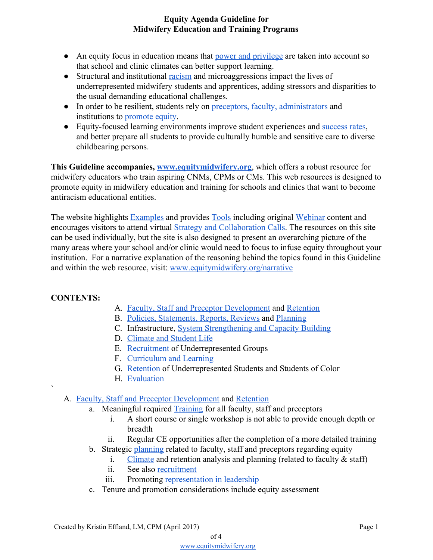- An equity focus in education means that [power and privilege](https://www.equitymidwifery.org/power-privilege) are taken into account so that school and clinic climates can better support learning.
- Structural and institutional [racism](https://www.equitymidwifery.org/power-privilege) and microaggressions impact the lives of underrepresented midwifery students and apprentices, adding stressors and disparities to the usual demanding educational challenges.
- In order to be resilient, students rely on [preceptors, faculty, administrators](https://www.equitymidwifery.org/facultystafftraining) and institutions to [promote equity.](https://www.equitymidwifery.org/aboutwhy)
- Equity-focused learning environments improve student experiences and [success rates,](https://www.equitymidwifery.org/recruitment-retention) and better prepare all students to provide culturally humble and sensitive care to diverse childbearing persons.

**This Guideline accompanies, [www.equitymidwifery.org](http://www.equitymidwifery.org/)**, which offers a robust resource for midwifery educators who train aspiring CNMs, CPMs or CMs. This web resources is designed to promote equity in midwifery education and training for schools and clinics that want to become antiracism educational entities.

The website highlights **Examples** and provides **Tools** including original [Webinar](https://www.equitymidwifery.org/webinars) content and encourages visitors to attend virtual [Strategy and Collaboration Calls.](https://www.equitymidwifery.org/virtual-calls) The resources on this site can be used individually, but the site is also designed to present an overarching picture of the many areas where your school and/or clinic would need to focus to infuse equity throughout your institution. For a narrative explanation of the reasoning behind the topics found in this Guideline and within the web resource, visit: [www.equitymidwifery.org/narrative](https://www.equitymidwifery.org/narrative)

# **CONTENTS:**

`

- A. [Faculty, Staff and Preceptor Development](https://www.equitymidwifery.org/facultystafftraining) and [Retention](https://www.equitymidwifery.org/recruitment-retention)
- B. [Policies, Statements, Reports, Reviews](https://www.equitymidwifery.org/policiesandstatements) and [Planning](https://www.equitymidwifery.org/planning-evaluation)
- C. Infrastructure, [System Strengthening and Capacity Building](https://www.equitymidwifery.org/system-strengthening-capacity-build)
- D. [Climate and Student Life](https://www.equitymidwifery.org/climate-inclusion)
- E. [Recruitment](https://www.equitymidwifery.org/recruitment-retention) of Underrepresented Groups
- F. [Curriculum and Learning](https://www.equitymidwifery.org/curriculum)
- G. [Retention](https://www.equitymidwifery.org/recruitment-retention) of Underrepresented Students and Students of Color
- H. [Evaluation](https://www.equitymidwifery.org/planning-evaluation)

# A. [Faculty, Staff and Preceptor Development](https://www.equitymidwifery.org/facultystafftraining) and [Retention](https://www.equitymidwifery.org/recruitment-retention)

- a. Meaningful required **[Training](https://www.equitymidwifery.org/facultystafftraining)** for all faculty, staff and preceptors
	- i. A short course or single workshop is not able to provide enough depth or breadth
	- ii. Regular CE opportunities after the completion of a more detailed training
- b. Strategic [planning](https://www.equitymidwifery.org/planning-evaluation) related to faculty, staff and preceptors regarding equity
	- i. [Climate](https://www.equitymidwifery.org/climate-inclusion) and retention analysis and planning (related to faculty  $\&$  staff)
	- ii. See also [recruitment](https://www.equitymidwifery.org/recruitment-retention)
	- iii. Promoting [representation in leadership](https://www.equitymidwifery.org/representation-in-leadership)
- c. Tenure and promotion considerations include equity assessment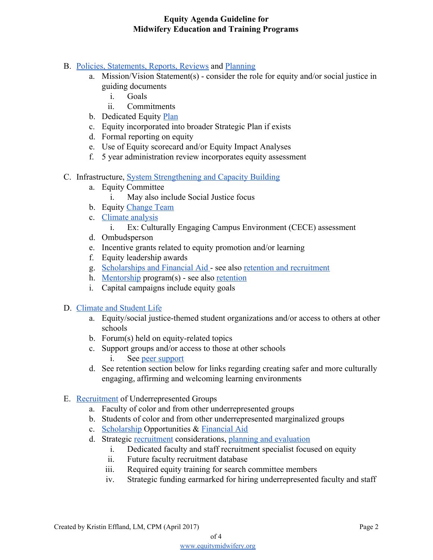# B. [Policies, Statements, Reports, Reviews](https://www.equitymidwifery.org/policiesandstatements) and [Planning](https://www.equitymidwifery.org/planning-evaluation)

- a. Mission/Vision Statement(s) consider the role for equity and/or social justice in guiding documents
	- i. Goals
	- ii. Commitments
- b. Dedicated Equity [Plan](https://www.equitymidwifery.org/planning-evaluation)
- c. Equity incorporated into broader Strategic Plan if exists
- d. Formal reporting on equity
- e. Use of Equity scorecard and/or Equity Impact Analyses
- f. 5 year administration review incorporates equity assessment

# C. Infrastructure, [System Strengthening and Capacity Building](https://www.equitymidwifery.org/system-strengthening-capacity-build)

- a. Equity Committee
	- i. May also include Social Justice focus
- b. Equity [Change Team](http://onlinelibrary.wiley.com/doi/10.1111/jmwh.12551/full)
- c. [Climate analysis](https://www.equitymidwifery.org/climate-inclusion)
	- i. Ex: Culturally Engaging Campus Environment (CECE) assessment
- d. Ombudsperson
- e. Incentive grants related to equity promotion and/or learning
- f. Equity leadership awards
- g. [Scholarships and Financial Aid](https://www.equitymidwifery.org/scholarships-financial-aid)  see also [retention and recruitment](https://www.equitymidwifery.org/recruitment-retention)
- h. [Mentorship](https://www.equitymidwifery.org/mentorship) program(s) see also [retention](https://www.equitymidwifery.org/recruitment-retention)
- i. Capital campaigns include equity goals

### D. [Climate and Student Life](https://www.equitymidwifery.org/climate-inclusion)

- a. Equity/social justice-themed student organizations and/or access to others at other schools
- b. Forum(s) held on equity-related topics
- c. Support groups and/or access to those at other schools i. See [peer support](https://www.equitymidwifery.org/peersupport)
- d. See retention section below for links regarding creating safer and more culturally engaging, affirming and welcoming learning environments
- E. [Recruitment](https://www.equitymidwifery.org/recruitment-retention) of Underrepresented Groups
	- a. Faculty of color and from other underrepresented groups
	- b. Students of color and from other underrepresented marginalized groups
	- c. [Scholarship](https://www.equitymidwifery.org/scholarships-financial-aid) Opportunities & [Financial Aid](https://www.equitymidwifery.org/scholarships-financial-aid)
	- d. Strategic [recruitment](https://www.equitymidwifery.org/recruitment-retention) considerations, [planning and evaluation](https://www.equitymidwifery.org/planning-evaluation)
		- i. Dedicated faculty and staff recruitment specialist focused on equity
		- ii. Future faculty recruitment database
		- iii. Required equity training for search committee members
		- iv. Strategic funding earmarked for hiring underrepresented faculty and staff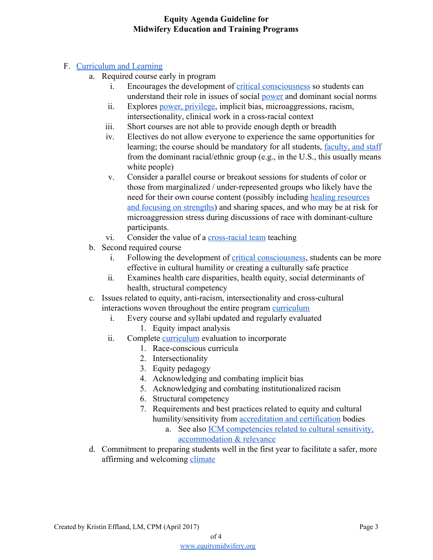# F. [Curriculum and Learning](https://www.equitymidwifery.org/curriculum)

- a. Required course early in program
	- i. Encourages the development of [critical consciousness](https://www.equitymidwifery.org/criticalconsciousness) so students can understand their role in issues of social [power](https://www.equitymidwifery.org/power-privilege) and dominant social norms
	- ii. Explores [power, privilege](https://www.equitymidwifery.org/power-privilege), implicit bias, microaggressions, racism, intersectionality, clinical work in a cross-racial context
	- iii. Short courses are not able to provide enough depth or breadth
	- iv. Electives do not allow everyone to experience the same opportunities for learning; the course should be mandatory for all students, [faculty, and staff](https://www.equitymidwifery.org/facultystafftraining) from the dominant racial/ethnic group (e.g., in the U.S., this usually means white people)
	- v. Consider a parallel course or breakout sessions for students of color or those from marginalized / under-represented groups who likely have the need for their own course content (possibly including [healing resources](https://www.equitymidwifery.org/healingresourcesfocusingonstrengths) [and focusing on strengths\)](https://www.equitymidwifery.org/healingresourcesfocusingonstrengths) and sharing spaces, and who may be at risk for microaggression stress during discussions of race with dominant-culture participants.
	- vi. Consider the value of a [cross-racial team](https://www.equitymidwifery.org/cross-racial-teams) teaching
- b. Second required course
	- i. Following the development of [critical consciousness](https://www.equitymidwifery.org/criticalconsciousness), students can be more effective in cultural humility or creating a culturally safe practice
	- ii. Examines health care disparities, health equity, social determinants of health, structural competency
- c. Issues related to equity, anti-racism, intersectionality and cross-cultural interactions woven throughout the entire program [curriculum](https://www.equitymidwifery.org/curriculum)
	- i. Every course and syllabi updated and regularly evaluated
		- 1. Equity impact analysis
	- ii. Complete [curriculum](https://www.equitymidwifery.org/curriculum) evaluation to incorporate
		- 1. Race-conscious curricula
		- 2. Intersectionality
		- 3. Equity pedagogy
		- 4. Acknowledging and combating implicit bias
		- 5. Acknowledging and combating institutionalized racism
		- 6. Structural competency
		- 7. Requirements and best practices related to equity and cultural humility/sensitivity from **accreditation** and certification bodies
			- a. See also [ICM competencies related to cultural sensitivity,](http://docs.wixstatic.com/ugd/c25c02_d2cd14bead594fe5bf809784cedf146c.pdf) [accommodation & relevance](http://docs.wixstatic.com/ugd/c25c02_d2cd14bead594fe5bf809784cedf146c.pdf)
- d. Commitment to preparing students well in the first year to facilitate a safer, more affirming and welcoming [climate](https://www.equitymidwifery.org/climate-inclusion)